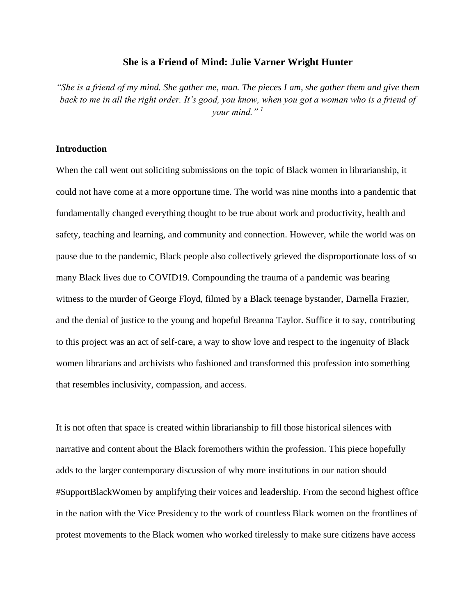## **She is a Friend of Mind: Julie Varner Wright Hunter**

*"She is a friend of my mind. She gather me, man. The pieces I am, she gather them and give them*  back to me in all the right order. It's good, you know, when you got a woman who is a friend of *your mind." <sup>1</sup>*

## **Introduction**

When the call went out soliciting submissions on the topic of Black women in librarianship, it could not have come at a more opportune time. The world was nine months into a pandemic that fundamentally changed everything thought to be true about work and productivity, health and safety, teaching and learning, and community and connection. However, while the world was on pause due to the pandemic, Black people also collectively grieved the disproportionate loss of so many Black lives due to COVID19. Compounding the trauma of a pandemic was bearing witness to the murder of George Floyd, filmed by a Black teenage bystander, Darnella Frazier, and the denial of justice to the young and hopeful Breanna Taylor. Suffice it to say, contributing to this project was an act of self-care, a way to show love and respect to the ingenuity of Black women librarians and archivists who fashioned and transformed this profession into something that resembles inclusivity, compassion, and access.

It is not often that space is created within librarianship to fill those historical silences with narrative and content about the Black foremothers within the profession. This piece hopefully adds to the larger contemporary discussion of why more institutions in our nation should #SupportBlackWomen by amplifying their voices and leadership. From the second highest office in the nation with the Vice Presidency to the work of countless Black women on the frontlines of protest movements to the Black women who worked tirelessly to make sure citizens have access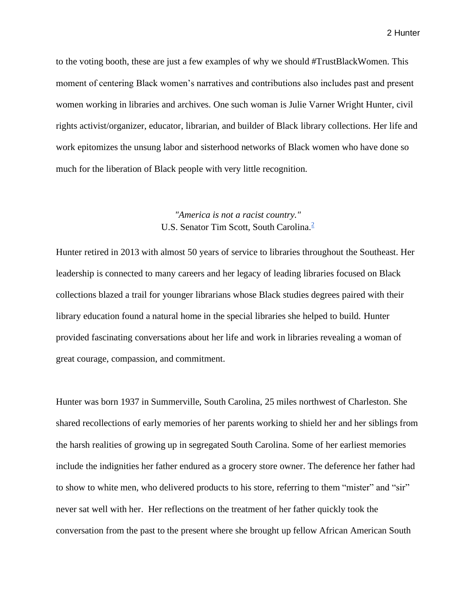to the voting booth, these are just a few examples of why we should #TrustBlackWomen. This moment of centering Black women's narratives and contributions also includes past and present women working in libraries and archives. One such woman is Julie Varner Wright Hunter, civil rights activist/organizer, educator, librarian, and builder of Black library collections. Her life and work epitomizes the unsung labor and sisterhood networks of Black women who have done so much for the liberation of Black people with very little recognition.

## *"America is not a racist country."* U.S. Senator Tim Scott, South Carolina.<sup>2</sup>

Hunter retired in 2013 with almost 50 years of service to libraries throughout the Southeast. Her leadership is connected to many careers and her legacy of leading libraries focused on Black collections blazed a trail for younger librarians whose Black studies degrees paired with their library education found a natural home in the special libraries she helped to build. Hunter provided fascinating conversations about her life and work in libraries revealing a woman of great courage, compassion, and commitment.

Hunter was born 1937 in Summerville, South Carolina, 25 miles northwest of Charleston. She shared recollections of early memories of her parents working to shield her and her siblings from the harsh realities of growing up in segregated South Carolina. Some of her earliest memories include the indignities her father endured as a grocery store owner. The deference her father had to show to white men, who delivered products to his store, referring to them "mister" and "sir" never sat well with her. Her reflections on the treatment of her father quickly took the conversation from the past to the present where she brought up fellow African American South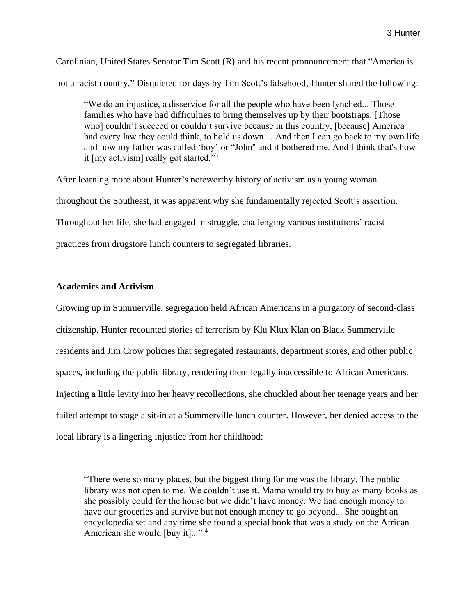Carolinian, United States Senator Tim Scott (R) and his recent pronouncement that "America is not a racist country," Disquieted for days by Tim Scott's falsehood, Hunter shared the following:

"We do an injustice, a disservice for all the people who have been lynched... Those families who have had difficulties to bring themselves up by their bootstraps. [Those who] couldn't succeed or couldn't survive because in this country, [because] America had every law they could think, to hold us down… And then I can go back to my own life and how my father was called 'boy' or "John'' and it bothered me. And I think that's how it  $[my]$  activism really got started."<sup>3</sup>

After learning more about Hunter's noteworthy history of activism as a young woman throughout the Southeast, it was apparent why she fundamentally rejected Scott's assertion. Throughout her life, she had engaged in struggle, challenging various institutions' racist practices from drugstore lunch counters to segregated libraries.

## **Academics and Activism**

Growing up in Summerville, segregation held African Americans in a purgatory of second-class citizenship. Hunter recounted stories of terrorism by Klu Klux Klan on Black Summerville residents and Jim Crow policies that segregated restaurants, department stores, and other public spaces, including the public library, rendering them legally inaccessible to African Americans. Injecting a little levity into her heavy recollections, she chuckled about her teenage years and her failed attempt to stage a sit-in at a Summerville lunch counter. However, her denied access to the local library is a lingering injustice from her childhood:

"There were so many places, but the biggest thing for me was the library. The public library was not open to me. We couldn't use it. Mama would try to buy as many books as she possibly could for the house but we didn't have money. We had enough money to have our groceries and survive but not enough money to go beyond... She bought an encyclopedia set and any time she found a special book that was a study on the African American she would [buy it]..."<sup>4</sup>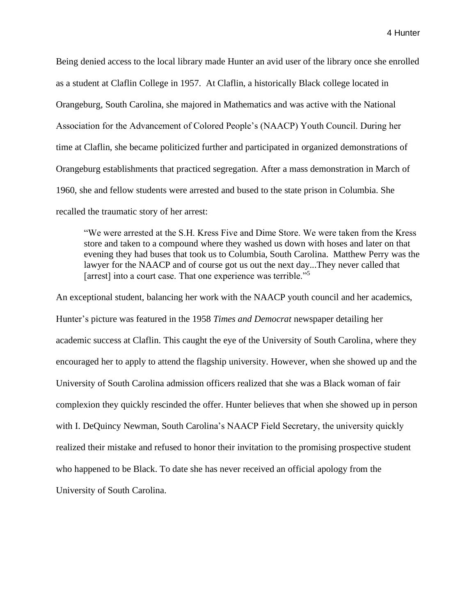Being denied access to the local library made Hunter an avid user of the library once she enrolled as a student at Claflin College in 1957. At Claflin, a historically Black college located in Orangeburg, South Carolina, she majored in Mathematics and was active with the National Association for the Advancement of Colored People's (NAACP) Youth Council. During her time at Claflin, she became politicized further and participated in organized demonstrations of Orangeburg establishments that practiced segregation. After a mass demonstration in March of 1960, she and fellow students were arrested and bused to the state prison in Columbia. She recalled the traumatic story of her arrest:

"We were arrested at the S.H. Kress Five and Dime Store. We were taken from the Kress store and taken to a compound where they washed us down with hoses and later on that evening they had buses that took us to Columbia, South Carolina. Matthew Perry was the lawyer for the NAACP and of course got us out the next day...They never called that [arrest] into a court case. That one experience was terrible."<sup>5</sup>

An exceptional student, balancing her work with the NAACP youth council and her academics, Hunter's picture was featured in the 1958 *Times and Democrat* newspaper detailing her academic success at Claflin. This caught the eye of the University of South Carolina, where they encouraged her to apply to attend the flagship university. However, when she showed up and the University of South Carolina admission officers realized that she was a Black woman of fair complexion they quickly rescinded the offer. Hunter believes that when she showed up in person with I. DeQuincy Newman, South Carolina's NAACP Field Secretary, the university quickly realized their mistake and refused to honor their invitation to the promising prospective student who happened to be Black. To date she has never received an official apology from the University of South Carolina.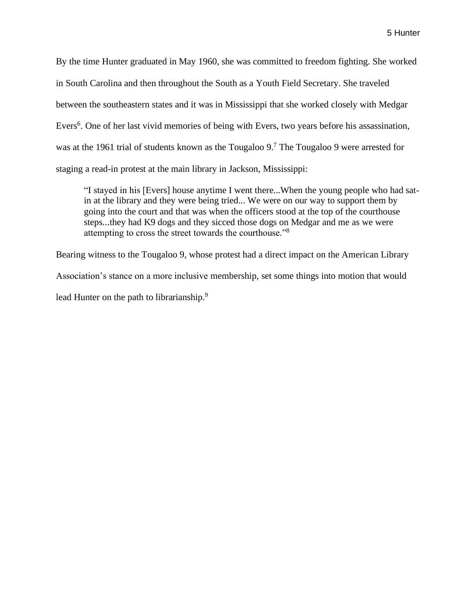By the time Hunter graduated in May 1960, she was committed to freedom fighting. She worked in South Carolina and then throughout the South as a Youth Field Secretary. She traveled between the southeastern states and it was in Mississippi that she worked closely with Medgar Evers<sup>6</sup>. One of her last vivid memories of being with Evers, two years before his assassination, was at the 1961 trial of students known as the Tougaloo 9.<sup>7</sup> The Tougaloo 9 were arrested for staging a read-in protest at the main library in Jackson, Mississippi:

"I stayed in his [Evers] house anytime I went there...When the young people who had satin at the library and they were being tried... We were on our way to support them by going into the court and that was when the officers stood at the top of the courthouse steps...they had K9 dogs and they sicced those dogs on Medgar and me as we were attempting to cross the street towards the courthouse."<sup>8</sup>

Bearing witness to the Tougaloo 9, whose protest had a direct impact on the American Library Association's stance on a more inclusive membership, set some things into motion that would lead Hunter on the path to librarianship.<sup>9</sup>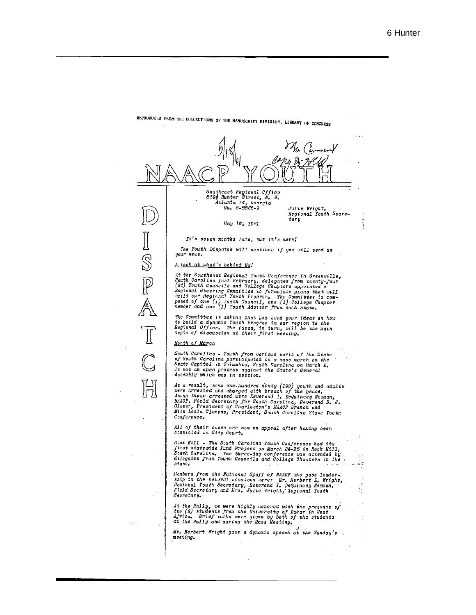

REPRODUCED FROM THE COLLECTIONS OF THE MANUSCRIPT DIVISION, LIBRARY OF CONGRESS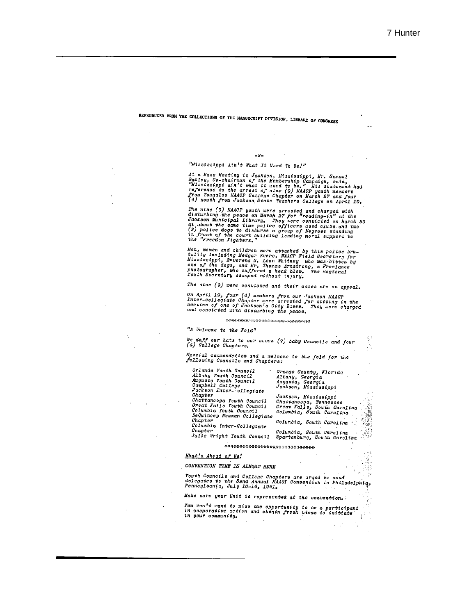# REPRODUCED FROM THE COLLECTIONS OF THE MANUSCRIFT DIVISION, LIBRARY OF CONGRESS

#### $-2-$

#### "Mississippi Ain't What It Used To Be!"

At a Mass Neeting in Jackson, Hississippi, Mr. Samuel<br>Bailey, Co-chairman of the Membership Campaign, said,<br>"Mississippi ain't what it used to be." His statement had<br>reference to the arrest of nine (9) NAACP youth members<br>

The nine (9) NAACP youth were arrested and charged with<br>disturbing the peace on March 27 for "reading-in" at the<br>Jackson Municipal Library. They were convicted on March 29<br>at about the same time police officers used clubs

Men, women and children were attacked by this police bru-<br>tality including Medgar Evers, NAACP Field Secretary for<br>Mississippi, Reverend S. Leon Whitney who was bitten by<br>one of the dogs, and Mr. Thomas Armstrong, a Freela

The nine (9) were convicted and their cases are on appeal.

On April 19, four (4) members from our Jackson NAAOP Ther-collegiate Chapter were arrested for sitting in the<br>section of one of Jackson's City Buses. They were charged<br>and convicted with disturbing the peace.

#### \*\*\*\*\*\*\*\*\*\*\*\*\*\*\*\*\*\*\*\*\*\*\*\*\*\*\*\*

 $H_A$  Welcome to the  $Fold$ 

We doff our hats to our seven (7) baby Councils and four<br>(4) College Chapters.

Special commendation and a welcome to the fold for the<br>following Councils and Chapters:

| Orlanda Youth Council<br>Albany Youth Council<br>Augusta Youth Council<br>Campbell College<br>Jackson Inter- ollegiate     | · Orange County, Florida<br>Albany, Georgia<br>Augusta, Georgia<br>Jackson, Mississippi                   |
|----------------------------------------------------------------------------------------------------------------------------|-----------------------------------------------------------------------------------------------------------|
| Chapter<br>Chattanooga Youth Council<br>Great Falls Youth Council<br>Columbia Youth Council<br>DeQuincey Newman Collegiate | Jackson, Mississippi<br>Chattanooga, Tennessee<br>Great Falls, South Carolina<br>Columbia, South Carolina |
| Chapter<br>Columbia Inter-Collegiate                                                                                       | Columbia, South Carolina                                                                                  |
| Chapter<br>Julie Wright Youth Council                                                                                      | Columbia, South Carolina<br>158<br>Spartanburg, South Carolina                                            |

\*\*\*\*\*\*\*\*\*\*\*\*\*\*\*\*\*\*\*\*\*\*\*\*\*\*\*\*\*\*\*\*

 $\mathbf{r}$  .

li pi

 $\ddot{\phantom{a}}$ 

#### What's Ahead of Us!

CONVENTION TIME IS ALMOST HERE

Touth Councils and College Chapters are urged to send<br>delegates to the 52nd Annual NAACP Convention in Philadelphiq,<br>Pennsylvania, July 10-16, 1961.

Make sure your Unit is represented at the convention.

Tou won't want to miss the opportunity to be a participant<br>in cooperative action and obtain fresh ideas to initiate<br>in your community.  $\frac{1}{2}$  $\sim$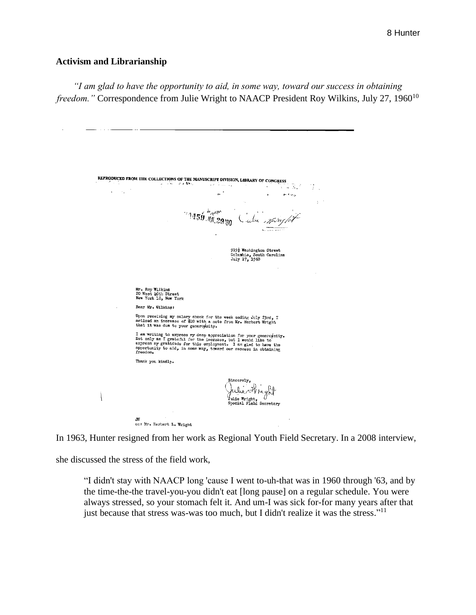## **Activism and Librarianship**

*"I am glad to have the opportunity to aid, in some way, toward our success in obtaining freedom.*" Correspondence from Julie Wright to NAACP President Roy Wilkins, July 27, 1960<sup>10</sup>

REPRODUCED FROM THE COLLECTIONS OF THE MANUSCRIPT DIVISION, LIBRARY OF CONGRESS  $1.54$  $\frac{1}{2}$  $\mathcal{M}(\mathcal{F})$  . As a set of  $\mathcal{F}_\mathcal{F}$  $\mathcal{F}_{\mathcal{A}}$  $\sim$ en ong.  $\mathbf{a}$  $\Delta$  $\omega_{\mu\nu\rho\mu}$   $\dot{\alpha}$ '' 1459 ML 29'80 Cube maryles 919<sup>1</sup> Washington Street<br>Columbia, South Carolina<br>July 27, 1960 Mr. Roy Wilkins<br>20 West LOth Street<br>New York 18, New York Dear Mr. Wilkins: Upon receiving my salary check for the week ending July 23rd, I<br>noticed an increase of \$10 with a note from Mr. Herbert Wright<br>that it was due to your generoyeity. I am writing to express my deep appreciation for your generowsity. Not only am I grateful for the increase, but I would like to express my gratidude for this employment. I am glad to have the opportunity to aid, in some wa Thank you kindly. Sincerely, helie Kregh Ì Julie Wright, ()<br>Special Field Secretary cc: Mr. Herbert L. Wright

In 1963, Hunter resigned from her work as Regional Youth Field Secretary. In a 2008 interview,

she discussed the stress of the field work,

"I didn't stay with NAACP long 'cause I went to-uh-that was in 1960 through '63, and by the time-the-the travel-you-you didn't eat [long pause] on a regular schedule. You were always stressed, so your stomach felt it. And um-I was sick for-for many years after that just because that stress was-was too much, but I didn't realize it was the stress."<sup>11</sup>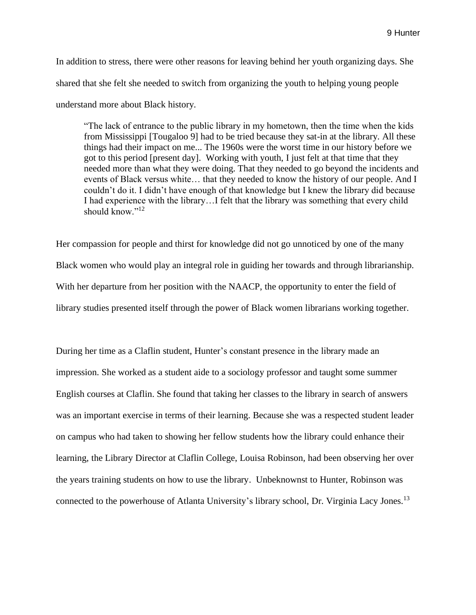In addition to stress, there were other reasons for leaving behind her youth organizing days. She shared that she felt she needed to switch from organizing the youth to helping young people understand more about Black history.

"The lack of entrance to the public library in my hometown, then the time when the kids from Mississippi [Tougaloo 9] had to be tried because they sat-in at the library. All these things had their impact on me... The 1960s were the worst time in our history before we got to this period [present day]. Working with youth, I just felt at that time that they needed more than what they were doing. That they needed to go beyond the incidents and events of Black versus white… that they needed to know the history of our people. And I couldn't do it. I didn't have enough of that knowledge but I knew the library did because I had experience with the library…I felt that the library was something that every child should know."<sup>12</sup>

Her compassion for people and thirst for knowledge did not go unnoticed by one of the many Black women who would play an integral role in guiding her towards and through librarianship. With her departure from her position with the NAACP, the opportunity to enter the field of library studies presented itself through the power of Black women librarians working together.

During her time as a Claflin student, Hunter's constant presence in the library made an impression. She worked as a student aide to a sociology professor and taught some summer English courses at Claflin. She found that taking her classes to the library in search of answers was an important exercise in terms of their learning. Because she was a respected student leader on campus who had taken to showing her fellow students how the library could enhance their learning, the Library Director at Claflin College, Louisa Robinson, had been observing her over the years training students on how to use the library. Unbeknownst to Hunter, Robinson was connected to the powerhouse of Atlanta University's library school, Dr. Virginia Lacy Jones.<sup>13</sup>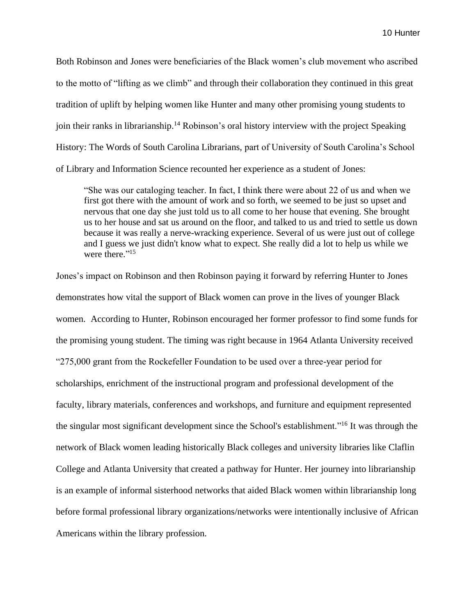Both Robinson and Jones were beneficiaries of the Black women's club movement who ascribed to the motto of "lifting as we climb" and through their collaboration they continued in this great tradition of uplift by helping women like Hunter and many other promising young students to join their ranks in librarianship.<sup>14</sup> Robinson's oral history interview with the project Speaking History: The Words of South Carolina Librarians, part of University of South Carolina's School of Library and Information Science recounted her experience as a student of Jones:

"She was our cataloging teacher. In fact, I think there were about 22 of us and when we first got there with the amount of work and so forth, we seemed to be just so upset and nervous that one day she just told us to all come to her house that evening. She brought us to her house and sat us around on the floor, and talked to us and tried to settle us down because it was really a nerve-wracking experience. Several of us were just out of college and I guess we just didn't know what to expect. She really did a lot to help us while we were there."<sup>15</sup>

Jones's impact on Robinson and then Robinson paying it forward by referring Hunter to Jones demonstrates how vital the support of Black women can prove in the lives of younger Black women. According to Hunter, Robinson encouraged her former professor to find some funds for the promising young student. The timing was right because in 1964 Atlanta University received "275,000 grant from the Rockefeller Foundation to be used over a three-year period for scholarships, enrichment of the instructional program and professional development of the faculty, library materials, conferences and workshops, and furniture and equipment represented the singular most significant development since the School's establishment."<sup>16</sup> It was through the network of Black women leading historically Black colleges and university libraries like Claflin College and Atlanta University that created a pathway for Hunter. Her journey into librarianship is an example of informal sisterhood networks that aided Black women within librarianship long before formal professional library organizations/networks were intentionally inclusive of African Americans within the library profession.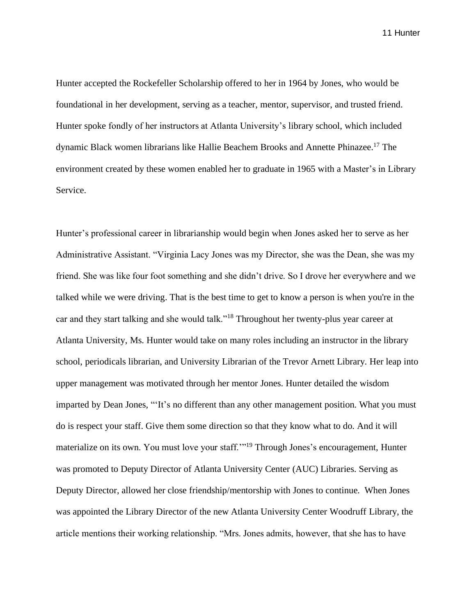Hunter accepted the Rockefeller Scholarship offered to her in 1964 by Jones, who would be foundational in her development, serving as a teacher, mentor, supervisor, and trusted friend. Hunter spoke fondly of her instructors at Atlanta University's library school, which included dynamic Black women librarians like Hallie Beachem Brooks and Annette Phinazee. <sup>17</sup> The environment created by these women enabled her to graduate in 1965 with a Master's in Library Service.

Hunter's professional career in librarianship would begin when Jones asked her to serve as her Administrative Assistant. "Virginia Lacy Jones was my Director, she was the Dean, she was my friend. She was like four foot something and she didn't drive. So I drove her everywhere and we talked while we were driving. That is the best time to get to know a person is when you're in the car and they start talking and she would talk."<sup>18</sup> Throughout her twenty-plus year career at Atlanta University, Ms. Hunter would take on many roles including an instructor in the library school, periodicals librarian, and University Librarian of the Trevor Arnett Library. Her leap into upper management was motivated through her mentor Jones. Hunter detailed the wisdom imparted by Dean Jones, "'It's no different than any other management position. What you must do is respect your staff. Give them some direction so that they know what to do. And it will materialize on its own. You must love your staff.'"<sup>19</sup> Through Jones's encouragement, Hunter was promoted to Deputy Director of Atlanta University Center (AUC) Libraries. Serving as Deputy Director, allowed her close friendship/mentorship with Jones to continue. When Jones was appointed the Library Director of the new Atlanta University Center Woodruff Library, the article mentions their working relationship. "Mrs. Jones admits, however, that she has to have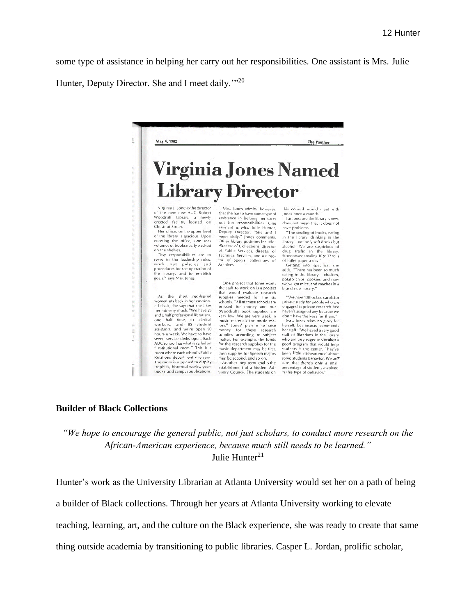some type of assistance in helping her carry out her responsibilities. One assistant is Mrs. Julie

Hunter, Deputy Director. She and I meet daily."<sup>20</sup>



#### **Builder of Black Collections**

*"We hope to encourage the general public, not just scholars, to conduct more research on the African-American experience, because much still needs to be learned."* Julie Hunter<sup>21</sup>

Hunter's work as the University Librarian at Atlanta University would set her on a path of being

a builder of Black collections. Through her years at Atlanta University working to elevate

teaching, learning, art, and the culture on the Black experience, she was ready to create that same

thing outside academia by transitioning to public libraries. Casper L. Jordan, prolific scholar,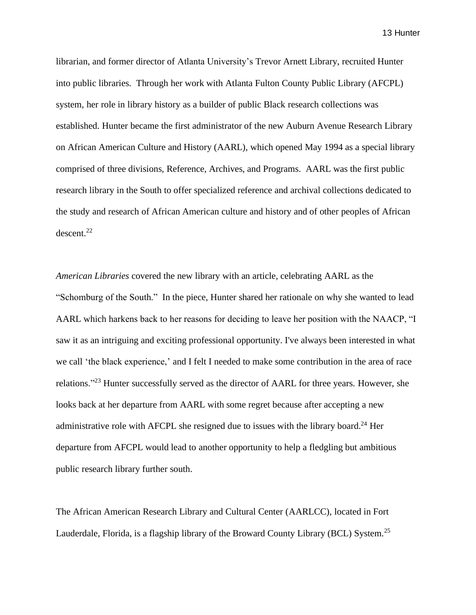librarian, and former director of Atlanta University's Trevor Arnett Library, recruited Hunter into public libraries. Through her work with Atlanta Fulton County Public Library (AFCPL) system, her role in library history as a builder of public Black research collections was established. Hunter became the first administrator of the new Auburn Avenue Research Library on African American Culture and History (AARL), which opened May 1994 as a special library comprised of three divisions, Reference, Archives, and Programs. AARL was the first public research library in the South to offer specialized reference and archival collections dedicated to the study and research of African American culture and history and of other peoples of African descent.<sup>22</sup>

*American Libraries* covered the new library with an article, celebrating AARL as the "Schomburg of the South." In the piece, Hunter shared her rationale on why she wanted to lead AARL which harkens back to her reasons for deciding to leave her position with the NAACP, "I saw it as an intriguing and exciting professional opportunity. I've always been interested in what we call 'the black experience,' and I felt I needed to make some contribution in the area of race relations."<sup>23</sup> Hunter successfully served as the director of AARL for three years. However, she looks back at her departure from AARL with some regret because after accepting a new administrative role with AFCPL she resigned due to issues with the library board.<sup>24</sup> Her departure from AFCPL would lead to another opportunity to help a fledgling but ambitious public research library further south.

The African American Research Library and Cultural Center (AARLCC), located in Fort Lauderdale, Florida, is a flagship library of the Broward County Library (BCL) System.<sup>25</sup>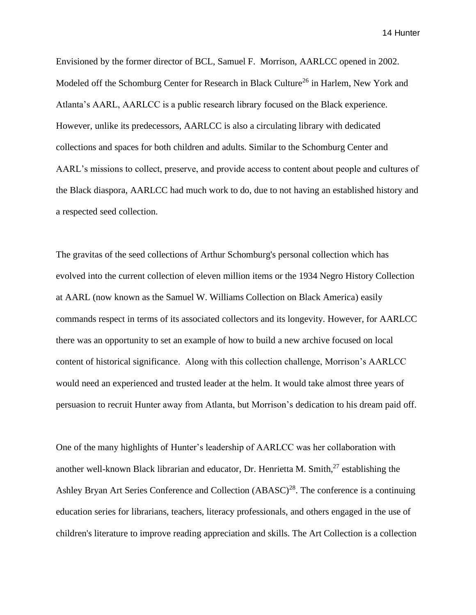Envisioned by the former director of BCL, Samuel F. Morrison, AARLCC opened in 2002. Modeled off the Schomburg Center for Research in Black Culture<sup>26</sup> in Harlem, New York and Atlanta's AARL, AARLCC is a public research library focused on the Black experience. However, unlike its predecessors, AARLCC is also a circulating library with dedicated collections and spaces for both children and adults. Similar to the Schomburg Center and AARL's missions to collect, preserve, and provide access to content about people and cultures of the Black diaspora, AARLCC had much work to do, due to not having an established history and a respected seed collection.

The gravitas of the seed collections of Arthur Schomburg's personal collection which has evolved into the current collection of eleven million items or the 1934 Negro History Collection at AARL (now known as the Samuel W. Williams Collection on Black America) easily commands respect in terms of its associated collectors and its longevity. However, for AARLCC there was an opportunity to set an example of how to build a new archive focused on local content of historical significance. Along with this collection challenge, Morrison's AARLCC would need an experienced and trusted leader at the helm. It would take almost three years of persuasion to recruit Hunter away from Atlanta, but Morrison's dedication to his dream paid off.

One of the many highlights of Hunter's leadership of AARLCC was her collaboration with another well-known Black librarian and educator, Dr. Henrietta M. Smith, <sup>27</sup> establishing the Ashley Bryan Art Series Conference and Collection  $(ABASC)^{28}$ . The conference is a continuing education series for librarians, teachers, literacy professionals, and others engaged in the use of children's literature to improve reading appreciation and skills. The Art Collection is a collection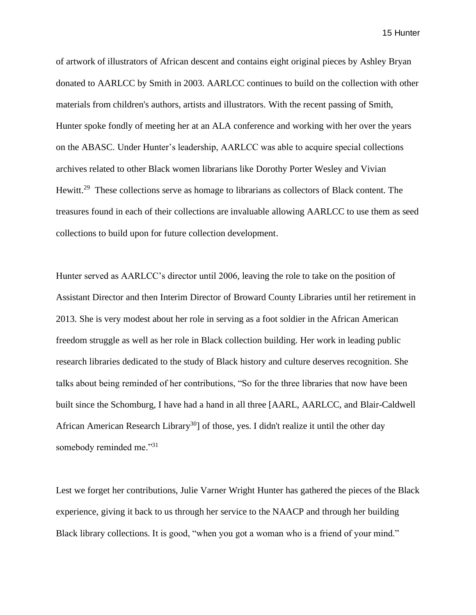of artwork of illustrators of African descent and contains eight original pieces by Ashley Bryan donated to AARLCC by Smith in 2003. AARLCC continues to build on the collection with other materials from children's authors, artists and illustrators. With the recent passing of Smith, Hunter spoke fondly of meeting her at an ALA conference and working with her over the years on the ABASC. Under Hunter's leadership, AARLCC was able to acquire special collections archives related to other Black women librarians like Dorothy Porter Wesley and Vivian Hewitt.<sup>29</sup> These collections serve as homage to librarians as collectors of Black content. The treasures found in each of their collections are invaluable allowing AARLCC to use them as seed collections to build upon for future collection development.

Hunter served as AARLCC's director until 2006, leaving the role to take on the position of Assistant Director and then Interim Director of Broward County Libraries until her retirement in 2013. She is very modest about her role in serving as a foot soldier in the African American freedom struggle as well as her role in Black collection building. Her work in leading public research libraries dedicated to the study of Black history and culture deserves recognition. She talks about being reminded of her contributions, "So for the three libraries that now have been built since the Schomburg, I have had a hand in all three [AARL, AARLCC, and Blair-Caldwell African American Research Library<sup>30</sup>] of those, yes. I didn't realize it until the other day somebody reminded me."31

Lest we forget her contributions, Julie Varner Wright Hunter has gathered the pieces of the Black experience, giving it back to us through her service to the NAACP and through her building Black library collections. It is good, "when you got a woman who is a friend of your mind."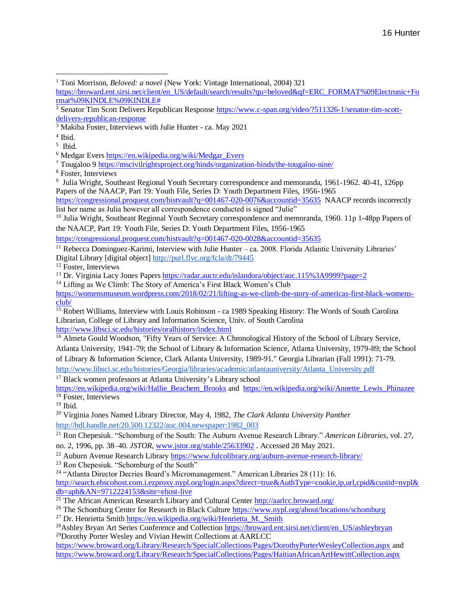<sup>1</sup> Toni Morrison, *Beloved: a novel* (New York: Vintage International, 2004) 321

[https://broward.ent.sirsi.net/client/en\\_US/default/search/results?qu=beloved&qf=ERC\\_FORMAT%09Electronic+Fo](about:blank) [rmat%09KINDLE%09KINDLE#](about:blank) 

<sup>7</sup> Tougaloo 9 [https://mscivilrightsproject.org/hinds/organization-hinds/the-tougaloo-nine/](about:blank)

<sup>8</sup> Foster, Interviews

<sup>9</sup> Julia Wright, Southeast Regional Youth Secretary correspondence and memoranda, 1961-1962. 40-41, 126pp Papers of the NAACP, Part 19: Youth File, Series D: Youth Department Files, 1956-1965

[https://congressional.proquest.com/histvault?q=001467-020-0076&accountid=35635](about:blank) NAACP records incorrectly list her name as Julia however all correspondence conducted is signed "Julie"

<sup>10</sup> Julia Wright, Southeast Regional Youth Secretary correspondence and memoranda, 1960. 11p 1-48pp Papers of the NAACP, Part 19: Youth File, Series D: Youth Department Files, 1956-1965

[https://congressional.proquest.com/histvault?q=001467-020-0028&accountid=35635](about:blank)

 $11$  Rebecca Dominguez-Karimi, Interview with Julie Hunter – ca. 2008. Florida Atlantic University Libraries'

Digital Library [digital object[\] http://purl.flvc.org/fcla/dt/79445](about:blank)

<sup>12</sup> Foster, Interviews

<sup>13</sup> Dr. Virginia Lacy Jones Papers [https://radar.auctr.edu/islandora/object/auc.115%3A9999?page=2](about:blank)

 $14$  Lifting as We Climb: The Story of America's First Black Women's Club

[https://womensmuseum.wordpress.com/2018/02/21/lifting-as-we-climb-the-story-of-americas-first-black-womens](about:blank)[club/](about:blank)

<sup>15</sup> Robert Williams, Interview with Louis Robinson - ca 1989 Speaking History: The Words of South Carolina Librarian, College of Library and Information Science, Univ. of South Carolina [http://www.libsci.sc.edu/histories/oralhistory/index.html](about:blank)

<sup>16</sup> Almeta Gould Woodson, "Fifty Years of Service: A Chronological History of the School of Library Service, Atlanta University, 1941-79; the School of Library & Information Science, Atlanta University, 1979-89; the School of Library & Information Science, Clark Atlanta University, 1989-91." Georgia Librarian (Fall 1991): 71-79. [http://www.libsci.sc.edu/histories/Georgia/libraries/academic/atlantauniversity/Atlanta\\_University.pdf](about:blank)

<sup>17</sup> Black women professors at Atlanta University's Library school

[https://en.wikipedia.org/wiki/Hallie\\_Beachem\\_Brooks](about:blank) and [https://en.wikipedia.org/wiki/Annette\\_Lewis\\_Phinazee](about:blank)  $18$  Foster, Interviews

<sup>19</sup> Ibid.

<sup>20</sup> Virginia Jones Named Library Director, May 4, 1982, *The Clark Atlanta University Panther* [http://hdl.handle.net/20.500.12322/auc.004.newspaper:1982\\_003](about:blank)

<sup>21</sup> Ron Chepesiuk. "Schomburg of the South: The Auburn Avenue Research Library." *American Libraries*, vol. 27, no. 2, 1996, pp. 38–40. *JSTOR*, [www.jstor.org/stable/25633902](about:blank) . Accessed 28 May 2021.

<sup>22</sup> Auburn Avenue Research Librar[y https://www.fulcolibrary.org/auburn-avenue-research-library/](about:blank)

<sup>23</sup> Ron Chepesiuk. "Schomburg of the South"

<sup>24</sup> "Atlanta Director Decries Board's Micromanagement." American Libraries 28 (11): 16.

[http://search.ebscohost.com.i.ezproxy.nypl.org/login.aspx?direct=true&AuthType=cookie,ip,url,cpid&custid=nypl&](about:blank) [db=aph&AN=9712224153&site=ehost-live](about:blank)

 $\frac{25 \text{ The African American Research Library}}{25 \text{ The African American Research Library}}$  and Cultural Center  $\frac{\text{http://aarlec.brownard.org/}}{25 \text{ The African American Research Library}}$ 

<sup>26</sup> The Schomburg Center for Research in Black Cultur[e https://www.nypl.org/about/locations/schomburg](about:blank)

<sup>27</sup> Dr. Henrietta Smit[h https://en.wikipedia.org/wiki/Henrietta\\_M.\\_Smith](about:blank)

<sup>28</sup>Ashley Bryan Art Series Conference and Collectio[n https://broward.ent.sirsi.net/client/en\\_US/ashleybryan](about:blank) <sup>29</sup>Dorothy Porter Wesley and Vivian Hewitt Collections at AARLCC

[https://www.broward.org/Library/Research/SpecialCollections/Pages/DorothyPorterWesleyCollection.aspx](about:blank) and [https://www.broward.org/Library/Research/SpecialCollections/Pages/HaitianAfricanArtHewittCollection.aspx](about:blank)

 $\frac{2}{3}$  Senator Tim Scott Delivers Republican Response [https://www.c-span.org/video/?511326-1/senator-tim-scott](about:blank)[delivers-republican-response](about:blank)

<sup>3</sup> Makiba Foster, Interviews with Julie Hunter - ca. May 2021

<sup>4</sup> Ibid.

<sup>5</sup> Ibid.

<sup>6</sup> Medgar Ever[s https://en.wikipedia.org/wiki/Medgar\\_Evers](about:blank)